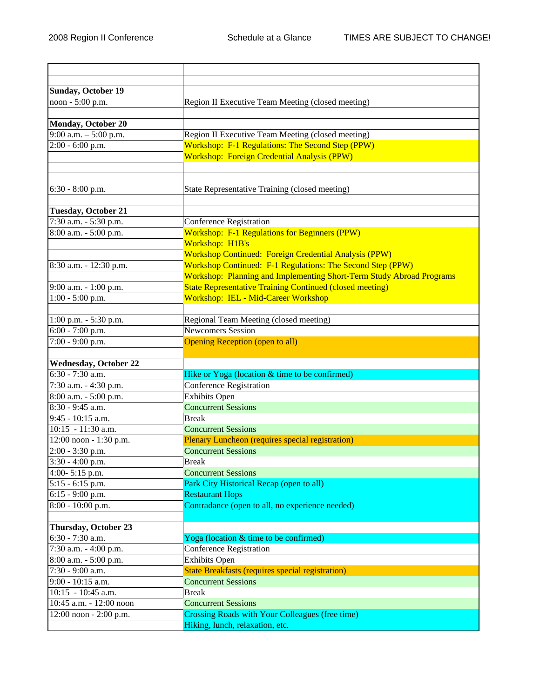| <b>Sunday, October 19</b>    |                                                                      |
|------------------------------|----------------------------------------------------------------------|
| noon - 5:00 p.m.             | Region II Executive Team Meeting (closed meeting)                    |
|                              |                                                                      |
| <b>Monday, October 20</b>    |                                                                      |
| $9:00$ a.m. $-5:00$ p.m.     | Region II Executive Team Meeting (closed meeting)                    |
| $2:00 - 6:00$ p.m.           | Workshop: F-1 Regulations: The Second Step (PPW)                     |
|                              | <b>Workshop: Foreign Credential Analysis (PPW)</b>                   |
|                              |                                                                      |
| 6:30 - 8:00 p.m.             | State Representative Training (closed meeting)                       |
|                              |                                                                      |
| <b>Tuesday, October 21</b>   |                                                                      |
| 7:30 a.m. - 5:30 p.m.        | Conference Registration                                              |
| 8:00 a.m. - 5:00 p.m.        | <b>Workshop: F-1 Regulations for Beginners (PPW)</b>                 |
|                              | Workshop: H1B's                                                      |
|                              | <b>Workshop Continued: Foreign Credential Analysis (PPW)</b>         |
| 8:30 a.m. - 12:30 p.m.       | Workshop Continued: F-1 Regulations: The Second Step (PPW)           |
|                              | Workshop: Planning and Implementing Short-Term Study Abroad Programs |
| 9:00 a.m. - 1:00 p.m.        | <b>State Representative Training Continued (closed meeting)</b>      |
| $1:00 - 5:00$ p.m.           | Workshop: IEL - Mid-Career Workshop                                  |
|                              |                                                                      |
| 1:00 p.m. - 5:30 p.m.        | Regional Team Meeting (closed meeting)                               |
| 6:00 - 7:00 p.m.             | <b>Newcomers Session</b>                                             |
| 7:00 - 9:00 p.m.             | <b>Opening Reception (open to all)</b>                               |
|                              |                                                                      |
| <b>Wednesday, October 22</b> |                                                                      |
| 6:30 - 7:30 a.m.             | Hike or Yoga (location & time to be confirmed)                       |
| 7:30 a.m. - 4:30 p.m.        | <b>Conference Registration</b>                                       |
| 8:00 a.m. - 5:00 p.m.        | <b>Exhibits Open</b>                                                 |
| 8:30 - 9:45 a.m.             | <b>Concurrent Sessions</b>                                           |
| 9:45 - 10:15 a.m.            | <b>Break</b>                                                         |
| $10:15 - 11:30$ a.m.         | <b>Concurrent Sessions</b>                                           |
| 12:00 noon - 1:30 p.m.       | Plenary Luncheon (requires special registration)                     |
| $2:00 - 3:30$ p.m.           | <b>Concurrent Sessions</b>                                           |
| $3:30 - 4:00$ p.m.           | <b>Break</b>                                                         |
| 4:00-5:15 p.m.               | <b>Concurrent Sessions</b>                                           |
| $5:15 - 6:15$ p.m.           | Park City Historical Recap (open to all)                             |
| $6:15 - 9:00$ p.m.           | <b>Restaurant Hops</b>                                               |
| 8:00 - 10:00 p.m.            | Contradance (open to all, no experience needed)                      |
| Thursday, October 23         |                                                                      |
| 6:30 - 7:30 a.m.             | Yoga (location & time to be confirmed)                               |
| 7:30 a.m. - 4:00 p.m.        | <b>Conference Registration</b>                                       |
| 8:00 a.m. - 5:00 p.m.        | <b>Exhibits Open</b>                                                 |
| 7:30 - 9:00 a.m.             | <b>State Breakfasts (requires special registration)</b>              |
| 9:00 - 10:15 a.m.            | <b>Concurrent Sessions</b>                                           |
| 10:15 - 10:45 a.m.           | <b>Break</b>                                                         |
| 10:45 a.m. - 12:00 noon      | <b>Concurrent Sessions</b>                                           |
| 12:00 noon - 2:00 p.m.       | <b>Crossing Roads with Your Colleagues (free time)</b>               |
|                              | Hiking, lunch, relaxation, etc.                                      |